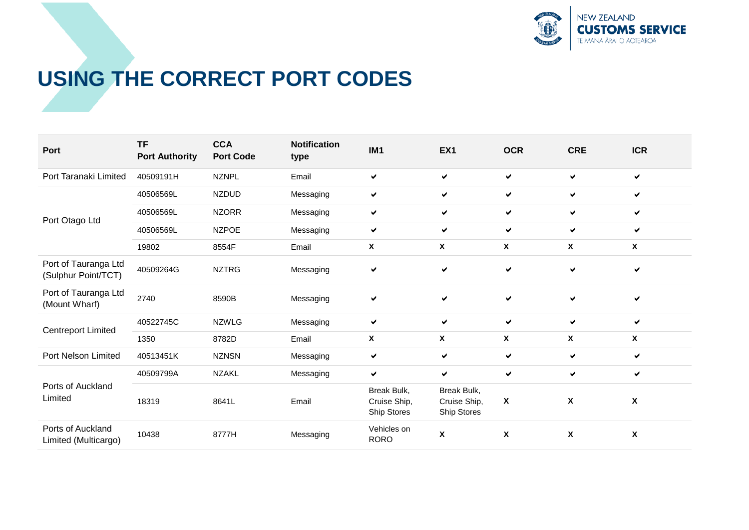

## **USING THE CORRECT PORT CODES**

| Port                                        | <b>TF</b><br><b>Port Authority</b> | <b>CCA</b><br><b>Port Code</b> | <b>Notification</b><br>type | IM <sub>1</sub>                            | EX <sub>1</sub>                            | <b>OCR</b>   | <b>CRE</b>                | <b>ICR</b>   |
|---------------------------------------------|------------------------------------|--------------------------------|-----------------------------|--------------------------------------------|--------------------------------------------|--------------|---------------------------|--------------|
| Port Taranaki Limited                       | 40509191H                          | <b>NZNPL</b>                   | Email                       | ✔                                          | ✔                                          | ✓            | ✔                         | ✔            |
| Port Otago Ltd                              | 40506569L                          | <b>NZDUD</b>                   | Messaging                   | ✓                                          | ✔                                          | ✔            | ✔                         | ✓            |
|                                             | 40506569L                          | <b>NZORR</b>                   | Messaging                   | ✔                                          | ✔                                          | ✔            | ✓                         | ✔            |
|                                             | 40506569L                          | <b>NZPOE</b>                   | Messaging                   | ✔                                          | ✔                                          | $\checkmark$ | $\checkmark$              | ✔            |
|                                             | 19802                              | 8554F                          | Email                       | $\pmb{\mathsf{X}}$                         | X                                          | X            | $\boldsymbol{\mathsf{X}}$ | X            |
| Port of Tauranga Ltd<br>(Sulphur Point/TCT) | 40509264G                          | <b>NZTRG</b>                   | Messaging                   | ✔                                          | ✔                                          | $\checkmark$ | ✔                         | ✔            |
| Port of Tauranga Ltd<br>(Mount Wharf)       | 2740                               | 8590B                          | Messaging                   | ✔                                          | ✔                                          | ✓            | ✔                         | $\checkmark$ |
| <b>Centreport Limited</b>                   | 40522745C                          | <b>NZWLG</b>                   | Messaging                   | ✔                                          | ✔                                          | ✓            | ✓                         | ✓            |
|                                             | 1350                               | 8782D                          | Email                       | $\mathbf{x}$                               | X                                          | X            | $\mathsf{x}$              | X            |
| Port Nelson Limited                         | 40513451K                          | <b>NZNSN</b>                   | Messaging                   | ✔                                          | ✔                                          | ✓            | $\checkmark$              | ✔            |
| Ports of Auckland<br>Limited                | 40509799A                          | <b>NZAKL</b>                   | Messaging                   | $\checkmark$                               | ✔                                          | ✔            | $\checkmark$              | ✔            |
|                                             | 18319                              | 8641L                          | Email                       | Break Bulk,<br>Cruise Ship,<br>Ship Stores | Break Bulk,<br>Cruise Ship,<br>Ship Stores | $\pmb{\chi}$ | $\boldsymbol{\mathsf{X}}$ | X            |
| Ports of Auckland<br>Limited (Multicargo)   | 10438                              | 8777H                          | Messaging                   | Vehicles on<br><b>RORO</b>                 | X                                          | $\pmb{\chi}$ | $\boldsymbol{\mathsf{X}}$ | X            |